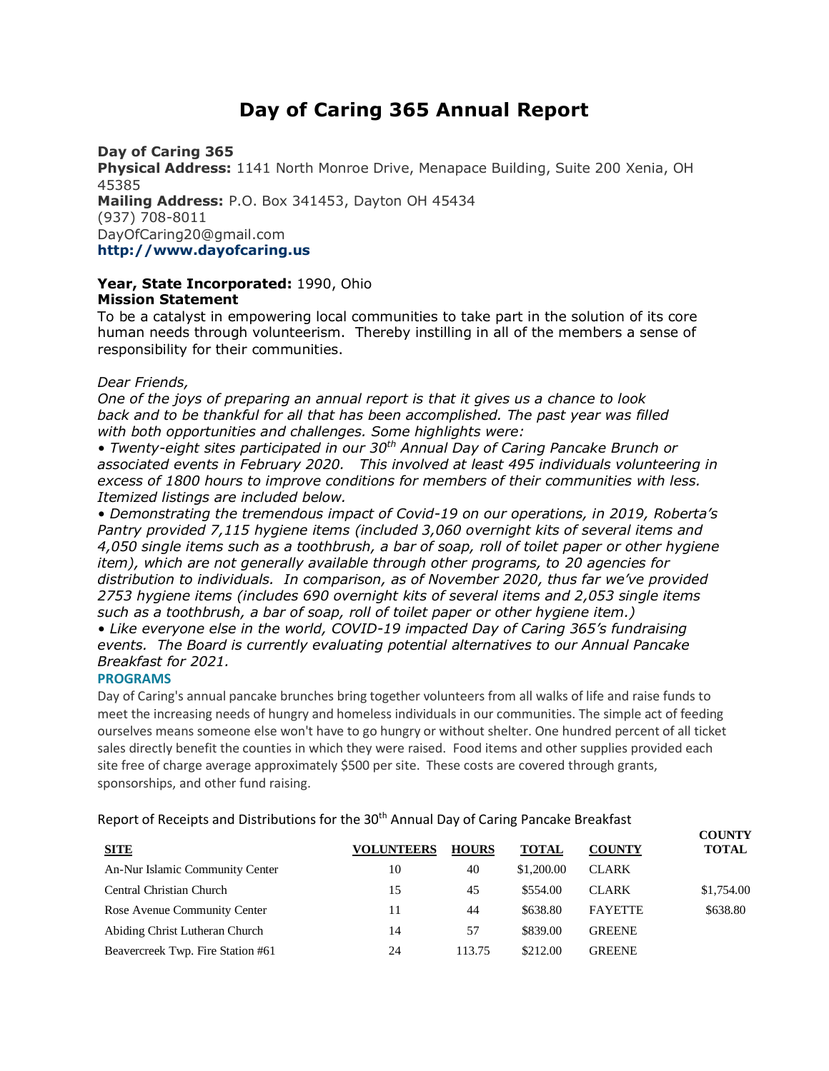# **Day of Caring 365 Annual Report**

## **Day of Caring 365**

**Physical Address:** 1141 North Monroe Drive, Menapace Building, Suite 200 Xenia, OH 45385 **Mailing Address:** P.O. Box 341453, Dayton OH 45434 (937) 708-8011 DayOfCaring20@gmail.com **http://www.dayofcaring.us**

## **Year, State Incorporated:** 1990, Ohio **Mission Statement**

To be a catalyst in empowering local communities to take part in the solution of its core human needs through volunteerism. Thereby instilling in all of the members a sense of responsibility for their communities.

## *Dear Friends,*

*One of the joys of preparing an annual report is that it gives us a chance to look back and to be thankful for all that has been accomplished. The past year was filled with both opportunities and challenges. Some highlights were:*

*• Twenty-eight sites participated in our 30th Annual Day of Caring Pancake Brunch or associated events in February 2020. This involved at least 495 individuals volunteering in excess of 1800 hours to improve conditions for members of their communities with less. Itemized listings are included below.*

• Demonstrating the tremendous impact of Covid-19 on our operations, in 2019, Roberta's *Pantry provided 7,115 hygiene items (included 3,060 overnight kits of several items and 4,050 single items such as a toothbrush, a bar of soap, roll of toilet paper or other hygiene item), which are not generally available through other programs, to 20 agencies for distribution to individuals. In comparison, as of November 2020, thus far we've provided 2753 hygiene items (includes 690 overnight kits of several items and 2,053 single items such as a toothbrush, a bar of soap, roll of toilet paper or other hygiene item.)*

*• Like everyone else in the world, COVID-19 impacted Day of Caring 365's fundraising events. The Board is currently evaluating potential alternatives to our Annual Pancake Breakfast for 2021.*

## **PROGRAMS**

Day of Caring's annual pancake brunches bring together volunteers from all walks of life and raise funds to meet the increasing needs of hungry and homeless individuals in our communities. The simple act of feeding ourselves means someone else won't have to go hungry or without shelter. One hundred percent of all ticket sales directly benefit the counties in which they were raised. Food items and other supplies provided each site free of charge average approximately \$500 per site. These costs are covered through grants, sponsorships, and other fund raising.

Report of Receipts and Distributions for the 30<sup>th</sup> Annual Day of Caring Pancake Breakfast

| <b>SITE</b>                       | <b>VOLUNTEERS</b> | <b>HOURS</b> | <b>TOTAL</b> | <b>COUNTY</b>  | <u>COUNTI</u><br><b>TOTAL</b> |
|-----------------------------------|-------------------|--------------|--------------|----------------|-------------------------------|
| An-Nur Islamic Community Center   | 10                | 40           | \$1,200.00   | <b>CLARK</b>   |                               |
| Central Christian Church          | 15                | 45           | \$554.00     | <b>CLARK</b>   | \$1,754.00                    |
| Rose Avenue Community Center      | 11                | 44           | \$638.80     | <b>FAYETTE</b> | \$638.80                      |
| Abiding Christ Lutheran Church    | 14                | 57           | \$839.00     | <b>GREENE</b>  |                               |
| Beavercreek Twp. Fire Station #61 | 24                | 113.75       | \$212.00     | <b>GREENE</b>  |                               |

**COUNTY**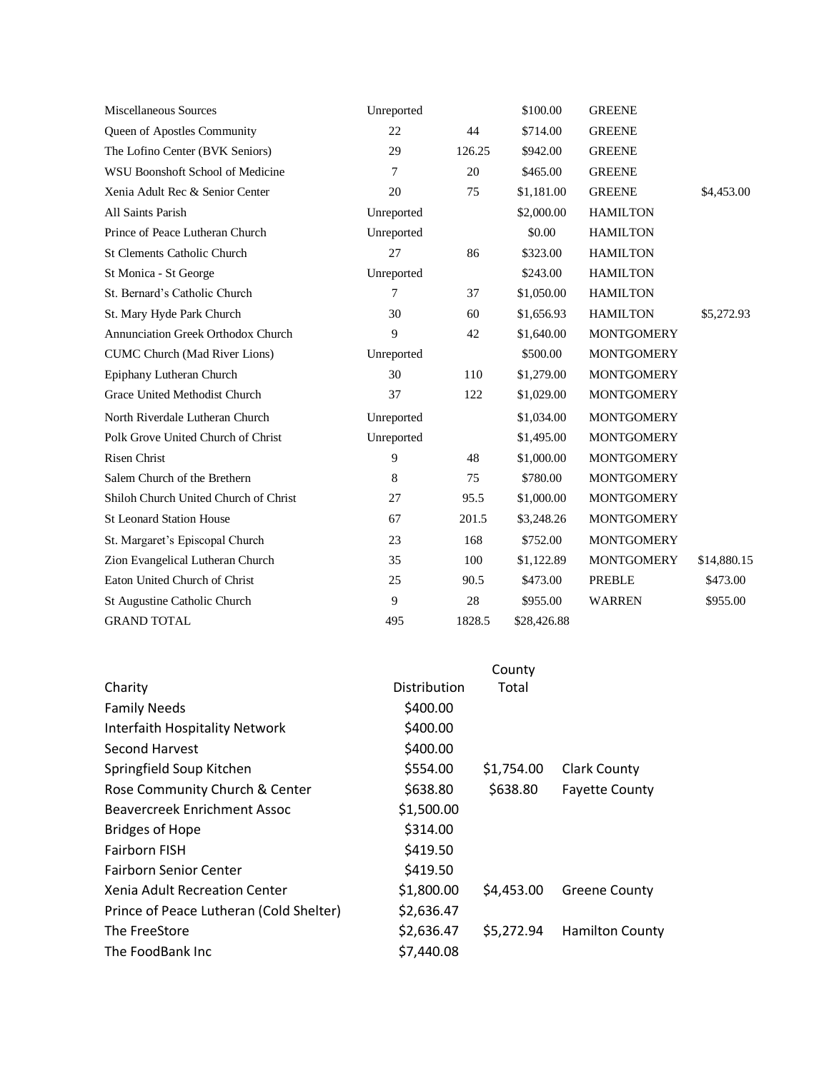| <b>Miscellaneous Sources</b>              | Unreported   |        | \$100.00    | <b>GREENE</b>     |             |
|-------------------------------------------|--------------|--------|-------------|-------------------|-------------|
| Queen of Apostles Community               | 22           | 44     | \$714.00    | <b>GREENE</b>     |             |
| The Lofino Center (BVK Seniors)           | 29           | 126.25 | \$942.00    | <b>GREENE</b>     |             |
| WSU Boonshoft School of Medicine          | 7            | 20     | \$465.00    | <b>GREENE</b>     |             |
| Xenia Adult Rec & Senior Center           | 20           | 75     | \$1,181.00  | <b>GREENE</b>     | \$4,453.00  |
| All Saints Parish                         | Unreported   |        | \$2,000.00  | <b>HAMILTON</b>   |             |
| Prince of Peace Lutheran Church           | Unreported   |        | \$0.00      | <b>HAMILTON</b>   |             |
| <b>St Clements Catholic Church</b>        | 27           | 86     | \$323.00    | <b>HAMILTON</b>   |             |
| St Monica - St George                     | Unreported   |        | \$243.00    | <b>HAMILTON</b>   |             |
| St. Bernard's Catholic Church             | 7            | 37     | \$1,050.00  | <b>HAMILTON</b>   |             |
| St. Mary Hyde Park Church                 | 30           | 60     | \$1,656.93  | <b>HAMILTON</b>   | \$5,272.93  |
| <b>Annunciation Greek Orthodox Church</b> | $\mathbf{Q}$ | 42     | \$1,640.00  | <b>MONTGOMERY</b> |             |
| <b>CUMC Church (Mad River Lions)</b>      | Unreported   |        | \$500.00    | <b>MONTGOMERY</b> |             |
| Epiphany Lutheran Church                  | 30           | 110    | \$1,279.00  | <b>MONTGOMERY</b> |             |
| Grace United Methodist Church             | 37           | 122    | \$1,029.00  | <b>MONTGOMERY</b> |             |
| North Riverdale Lutheran Church           | Unreported   |        | \$1,034.00  | <b>MONTGOMERY</b> |             |
| Polk Grove United Church of Christ        | Unreported   |        | \$1,495.00  | <b>MONTGOMERY</b> |             |
| <b>Risen Christ</b>                       | 9            | 48     | \$1,000.00  | <b>MONTGOMERY</b> |             |
| Salem Church of the Brethern              | 8            | 75     | \$780.00    | <b>MONTGOMERY</b> |             |
| Shiloh Church United Church of Christ     | 27           | 95.5   | \$1,000.00  | <b>MONTGOMERY</b> |             |
| <b>St Leonard Station House</b>           | 67           | 201.5  | \$3,248.26  | <b>MONTGOMERY</b> |             |
| St. Margaret's Episcopal Church           | 23           | 168    | \$752.00    | <b>MONTGOMERY</b> |             |
| Zion Evangelical Lutheran Church          | 35           | 100    | \$1,122.89  | <b>MONTGOMERY</b> | \$14,880.15 |
| Eaton United Church of Christ             | 25           | 90.5   | \$473.00    | PREBLE            | \$473.00    |
| St Augustine Catholic Church              | 9            | 28     | \$955.00    | <b>WARREN</b>     | \$955.00    |
| <b>GRAND TOTAL</b>                        | 495          | 1828.5 | \$28,426.88 |                   |             |

|                                         |              | County     |                        |
|-----------------------------------------|--------------|------------|------------------------|
| Charity                                 | Distribution | Total      |                        |
| <b>Family Needs</b>                     | \$400.00     |            |                        |
| <b>Interfaith Hospitality Network</b>   | \$400.00     |            |                        |
| Second Harvest                          | \$400.00     |            |                        |
| Springfield Soup Kitchen                | \$554.00     | \$1,754.00 | <b>Clark County</b>    |
| Rose Community Church & Center          | \$638.80     | \$638.80   | <b>Fayette County</b>  |
| <b>Beavercreek Enrichment Assoc</b>     | \$1,500.00   |            |                        |
| <b>Bridges of Hope</b>                  | \$314.00     |            |                        |
| <b>Fairborn FISH</b>                    | \$419.50     |            |                        |
| <b>Fairborn Senior Center</b>           | \$419.50     |            |                        |
| Xenia Adult Recreation Center           | \$1,800.00   | \$4,453.00 | <b>Greene County</b>   |
| Prince of Peace Lutheran (Cold Shelter) | \$2,636.47   |            |                        |
| The FreeStore                           | \$2,636.47   | \$5,272.94 | <b>Hamilton County</b> |
| The FoodBank Inc                        | \$7,440.08   |            |                        |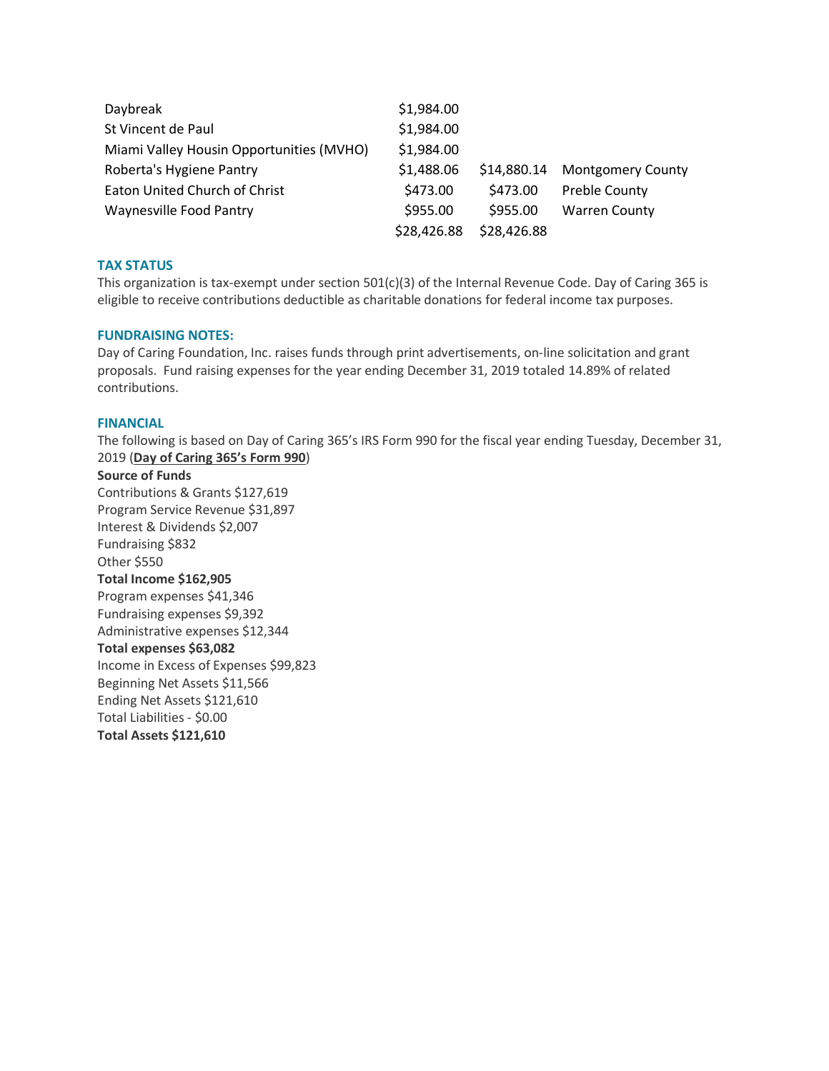| Daybreak                                 | \$1,984.00  |             |                          |
|------------------------------------------|-------------|-------------|--------------------------|
| St Vincent de Paul                       | \$1,984.00  |             |                          |
| Miami Valley Housin Opportunities (MVHO) | \$1,984.00  |             |                          |
| Roberta's Hygiene Pantry                 | \$1,488.06  | \$14,880.14 | <b>Montgomery County</b> |
| Eaton United Church of Christ            | \$473.00    | \$473.00    | <b>Preble County</b>     |
| <b>Waynesville Food Pantry</b>           | \$955.00    | \$955.00    | <b>Warren County</b>     |
|                                          | \$28,426.88 | \$28,426.88 |                          |

## **TAX STATUS**

This organization is tax-exempt under section 501(c)(3) of the Internal Revenue Code. Day of Caring 365 is eligible to receive contributions deductible as charitable donations for federal income tax purposes.

## **FUNDRAISING NOTES:**

Day of Caring Foundation, Inc. raises funds through print advertisements, on-line solicitation and grant proposals. Fund raising expenses for the year ending December 31, 2019 totaled 14.89% of related contributions.

### **FINANCIAL**

The following is based on Day of Caring 365's IRS Form 990 for the fiscal year ending Tuesday, December 31, 2019 (**Day of Caring 365's Form 990**)

#### **Source of Funds**

Contributions & Grants \$127,619 Program Service Revenue \$31,897 Interest & Dividends \$2,007 Fundraising \$832 Other \$550 **Total Income \$162,905** Program expenses \$41,346 Fundraising expenses \$9,392 Administrative expenses \$12,344 **Total expenses \$63,082** Income in Excess of Expenses \$99,823 Beginning Net Assets \$11,566 Ending Net Assets \$121,610 Total Liabilities - \$0.00 **Total Assets \$121,610**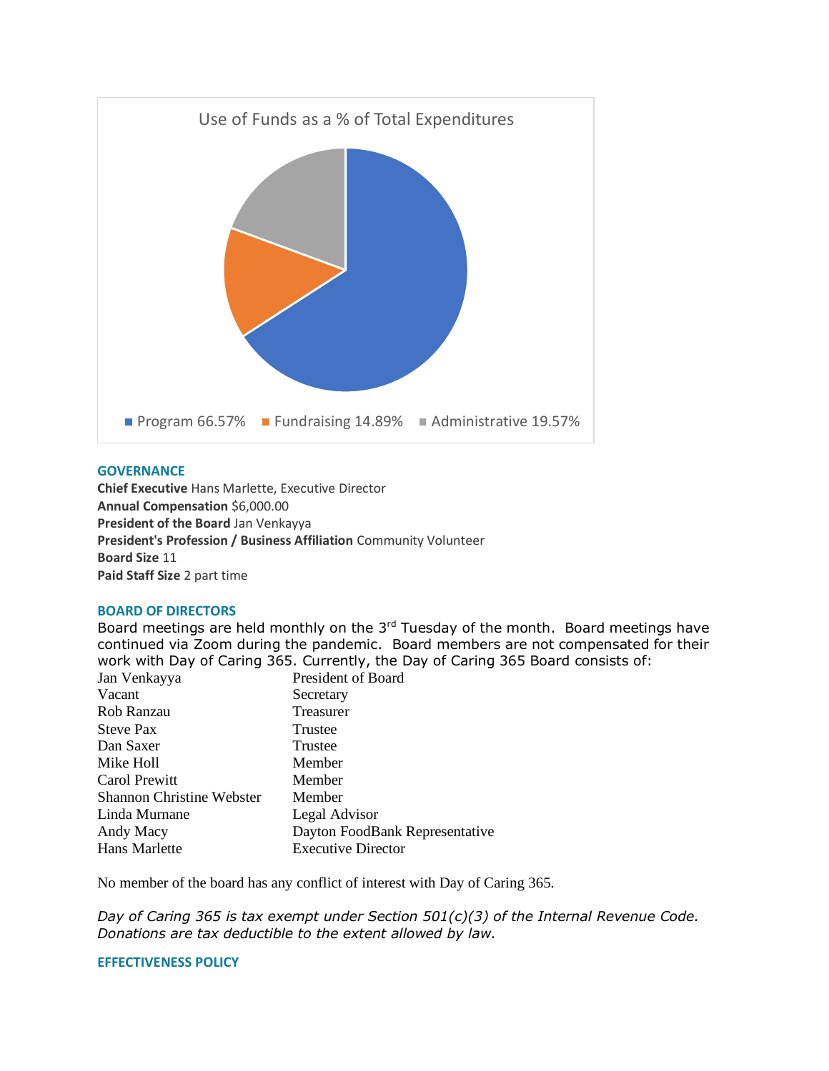

## **GOVERNANCE**

**Chief Executive** Hans Marlette, Executive Director **Annual Compensation** \$6,000.00 **President of the Board** Jan Venkayya **President's Profession / Business Affiliation** Community Volunteer **Board Size** 11 **Paid Staff Size** 2 part time

### **BOARD OF DIRECTORS**

Board meetings are held monthly on the  $3<sup>rd</sup>$  Tuesday of the month. Board meetings have continued via Zoom during the pandemic. Board members are not compensated for their work with Day of Caring 365. Currently, the Day of Caring 365 Board consists of:

| Jan Venkayya                     | President of Board             |
|----------------------------------|--------------------------------|
| Vacant                           | Secretary                      |
| Rob Ranzau                       | Treasurer                      |
| <b>Steve Pax</b>                 | Trustee                        |
| Dan Saxer                        | Trustee                        |
| Mike Holl                        | Member                         |
| Carol Prewitt                    | Member                         |
| <b>Shannon Christine Webster</b> | Member                         |
| Linda Murnane                    | Legal Advisor                  |
| Andy Macy                        | Dayton FoodBank Representative |
| Hans Marlette                    | <b>Executive Director</b>      |

No member of the board has any conflict of interest with Day of Caring 365.

*Day of Caring 365 is tax exempt under Section 501(c)(3) of the Internal Revenue Code. Donations are tax deductible to the extent allowed by law.*

## **EFFECTIVENESS POLICY**